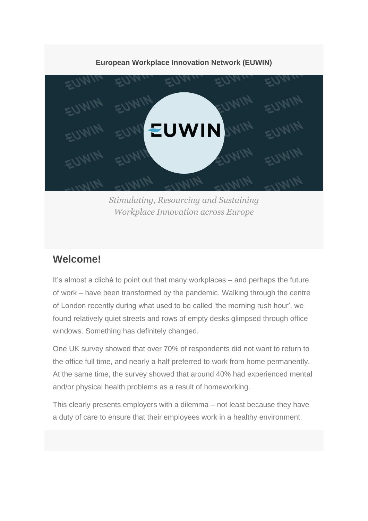### **European Workplace Innovation Network (EUWIN)**



*Stimulating, Resourcing and Sustaining Workplace Innovation across Europe*

### **Welcome!**

It's almost a cliché to point out that many workplaces – and perhaps the future of work – have been transformed by the pandemic. Walking through the centre of London recently during what used to be called 'the morning rush hour', we found relatively quiet streets and rows of empty desks glimpsed through office windows. Something has definitely changed.

One UK survey showed that over 70% of respondents did not want to return to the office full time, and nearly a half preferred to work from home permanently. At the same time, the survey showed that around 40% had experienced mental and/or physical health problems as a result of homeworking.

This clearly presents employers with a dilemma – not least because they have a duty of care to ensure that their employees work in a healthy environment.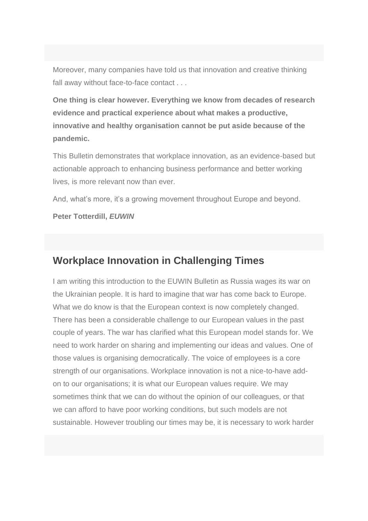Moreover, many companies have told us that innovation and creative thinking fall away without face-to-face contact . . .

**One thing is clear however. Everything we know from decades of research evidence and practical experience about what makes a productive, innovative and healthy organisation cannot be put aside because of the pandemic.**

This Bulletin demonstrates that workplace innovation, as an evidence-based but actionable approach to enhancing business performance and better working lives, is more relevant now than ever.

And, what's more, it's a growing movement throughout Europe and beyond.

**Peter Totterdill,** *EUWIN*

# **Workplace Innovation in Challenging Times**

I am writing this introduction to the EUWIN Bulletin as Russia wages its war on the Ukrainian people. It is hard to imagine that war has come back to Europe. What we do know is that the European context is now completely changed. There has been a considerable challenge to our European values in the past couple of years. The war has clarified what this European model stands for. We need to work harder on sharing and implementing our ideas and values. One of those values is organising democratically. The voice of employees is a core strength of our organisations. Workplace innovation is not a nice-to-have addon to our organisations; it is what our European values require. We may sometimes think that we can do without the opinion of our colleagues, or that we can afford to have poor working conditions, but such models are not sustainable. However troubling our times may be, it is necessary to work harder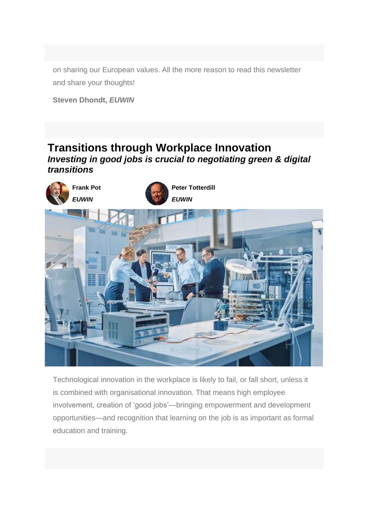on sharing our European values. All the more reason to read this newsletter and share your thoughts!

**Steven Dhondt,** *EUWIN*

### **Transitions through Workplace Innovation** *Investing in good jobs is crucial to negotiating green & digital transitions*



Technological innovation in the workplace is likely to fail, or fall short, unless it is combined with organisational innovation. That means high employee involvement, creation of 'good jobs'—bringing empowerment and development opportunities—and recognition that learning on the job is as important as formal education and training.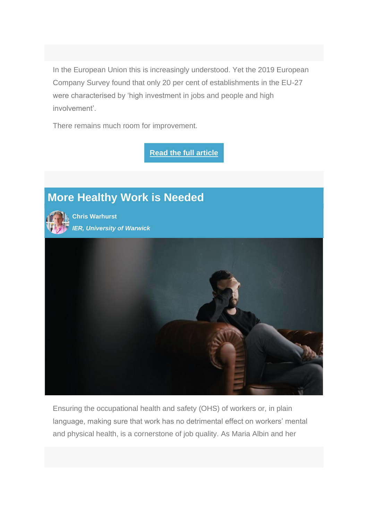In the European Union this is increasingly understood. Yet the 2019 European Company Survey found that only 20 per cent of establishments in the EU-27 were characterised by 'high investment in jobs and people and high involvement'.

There remains much room for improvement.

**[Read the full article](https://socialeurope.eu/successful-transitions-through-workplace-innovation)**

# **More Healthy Work is Needed**

**Chris Warhurst**  *IER, University of Warwick*



Ensuring the occupational health and safety (OHS) of workers or, in plain language, making sure that work has no detrimental effect on workers' mental and physical health, is a cornerstone of job quality. As Maria Albin and her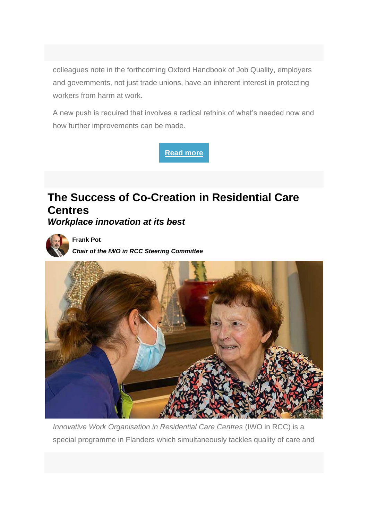colleagues note in the forthcoming Oxford Handbook of Job Quality, employers and governments, not just trade unions, have an inherent interest in protecting workers from harm at work.

A new push is required that involves a radical rethink of what's needed now and how further improvements can be made.



# **The Success of Co-Creation in Residential Care Centres**

*Workplace innovation at its best*



**Frank Pot**  *Chair of the IWO in RCC Steering Committee*



*Innovative Work Organisation in Residential Care Centres* (IWO in RCC) is a special programme in Flanders which simultaneously tackles quality of care and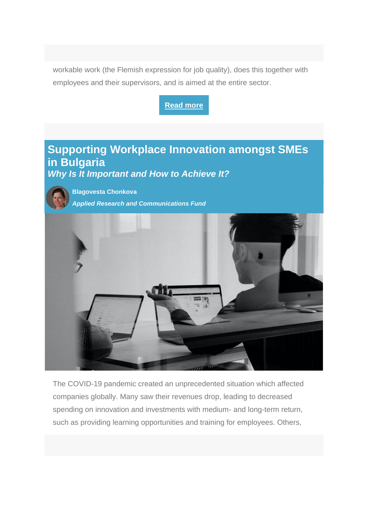workable work (the Flemish expression for job quality), does this together with employees and their supervisors, and is aimed at the entire sector.



The COVID-19 pandemic created an unprecedented situation which affected companies globally. Many saw their revenues drop, leading to decreased spending on innovation and investments with medium- and long-term return, such as providing learning opportunities and training for employees. Others,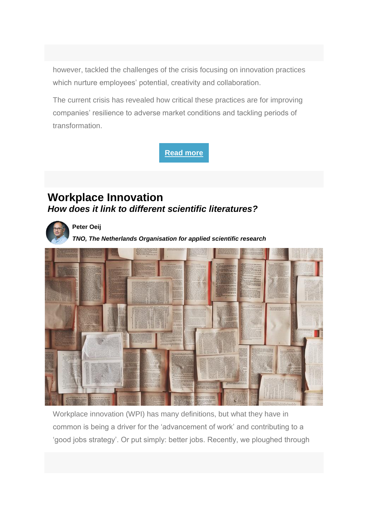however, tackled the challenges of the crisis focusing on innovation practices which nurture employees' potential, creativity and collaboration.

The current crisis has revealed how critical these practices are for improving companies' resilience to adverse market conditions and tackling periods of transformation.



## **Workplace Innovation** *How does it link to different scientific literatures?*



**Peter Oeij** 

*TNO, The Netherlands Organisation for applied scientific research*



Workplace innovation (WPI) has many definitions, but what they have in common is being a driver for the 'advancement of work' and contributing to a 'good jobs strategy'. Or put simply: better jobs. Recently, we ploughed through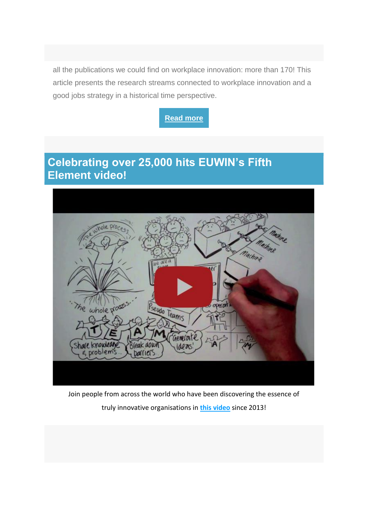all the publications we could find on workplace innovation: more than 170! This article presents the research streams connected to workplace innovation and a good jobs strategy in a historical time perspective.



# **Celebrating over 25,000 hits EUWIN's Fifth Element video!**



Join people from across the world who have been discovering the essence of truly innovative organisations in **[this video](https://www.youtube.com/watch?v=hutLABOniCc)** since 2013!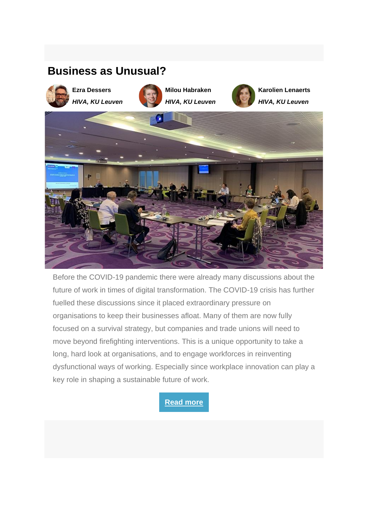# **Business as Unusual?**



**Ezra Dessers** *HIVA, KU Leuven*



**Milou Habraken**  *HIVA, KU Leuven*



**Karolien Lenaerts**  *HIVA, KU Leuven*



Before the COVID-19 pandemic there were already many discussions about the future of work in times of digital transformation. The COVID-19 crisis has further fuelled these discussions since it placed extraordinary pressure on organisations to keep their businesses afloat. Many of them are now fully focused on a survival strategy, but companies and trade unions will need to move beyond firefighting interventions. This is a unique opportunity to take a long, hard look at organisations, and to engage workforces in reinventing dysfunctional ways of working. Especially since workplace innovation can play a key role in shaping a sustainable future of work.

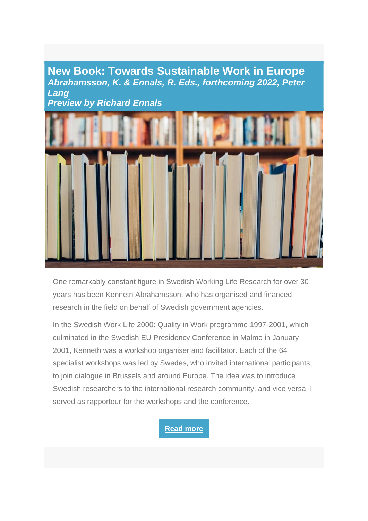### **New Book: Towards Sustainable Work in Europe**  *Abrahamsson, K. & Ennals, R. Eds., forthcoming 2022, Peter Lang Preview by Richard Ennals*



One remarkably constant figure in Swedish Working Life Research for over 30 years has been Kennetn Abrahamsson, who has organised and financed research in the field on behalf of Swedish government agencies.

In the Swedish Work Life 2000: Quality in Work programme 1997-2001, which culminated in the Swedish EU Presidency Conference in Malmo in January 2001, Kenneth was a workshop organiser and facilitator. Each of the 64 specialist workshops was led by Swedes, who invited international participants to join dialogue in Brussels and around Europe. The idea was to introduce Swedish researchers to the international research community, and vice versa. I served as rapporteur for the workshops and the conference.

### **[Read more](https://workplaceinnovation.eu/new-book-towards-sustainable-work-in-europe/)**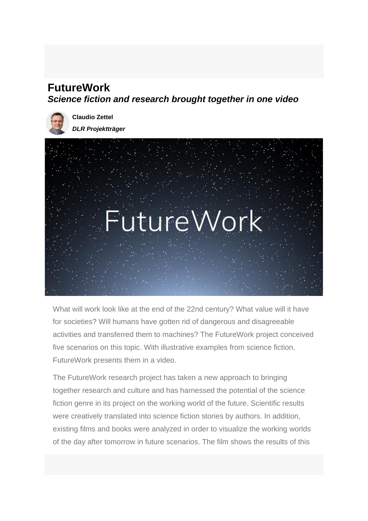# **FutureWork**

*Science fiction and research brought together in one video* 



**Claudio Zettel**  *DLR Projektträger*



What will work look like at the end of the 22nd century? What value will it have for societies? Will humans have gotten rid of dangerous and disagreeable activities and transferred them to machines? The FutureWork project conceived five scenarios on this topic. With illustrative examples from science fiction, FutureWork presents them in a video.

The FutureWork research project has taken a new approach to bringing together research and culture and has harnessed the potential of the science fiction genre in its project on the working world of the future. Scientific results were creatively translated into science fiction stories by authors. In addition, existing films and books were analyzed in order to visualize the working worlds of the day after tomorrow in future scenarios. The film shows the results of this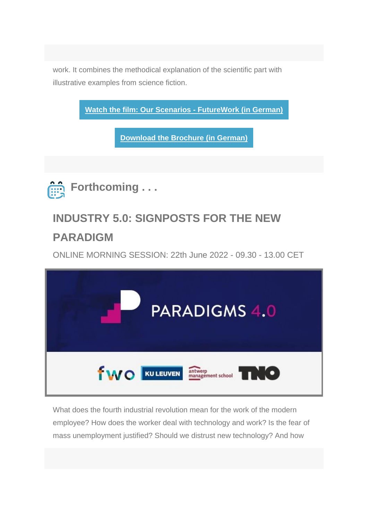work. It combines the methodical explanation of the scientific part with illustrative examples from science fiction.

**[Watch the film: Our Scenarios -](https://arbeit2100.de/unsere-szenarien/) FutureWork (in German) [Download the Brochure \(in German\)](https://workplaceinnovation.eu/wp-content/uploads/2022/05/Future-Work-brochure.pdf) Forthcoming . . . INDUSTRY 5.0: SIGNPOSTS FOR THE NEW** 

# **PARADIGM**

ONLINE MORNING SESSION: 22th June 2022 - 09.30 - 13.00 CET



What does the fourth industrial revolution mean for the work of the modern employee? How does the worker deal with technology and work? Is the fear of mass unemployment justified? Should we distrust new technology? And how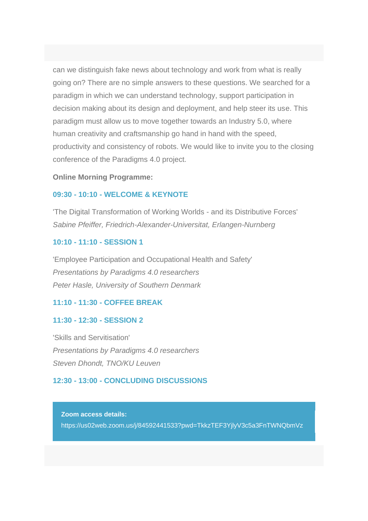can we distinguish fake news about technology and work from what is really going on? There are no simple answers to these questions. We searched for a paradigm in which we can understand technology, support participation in decision making about its design and deployment, and help steer its use. This paradigm must allow us to move together towards an Industry 5.0, where human creativity and craftsmanship go hand in hand with the speed, productivity and consistency of robots. We would like to invite you to the closing conference of the Paradigms 4.0 project.

#### **Online Morning Programme:**

### **09:30 - 10:10 - WELCOME & KEYNOTE**

'The Digital Transformation of Working Worlds - and its Distributive Forces' *Sabine Pfeiffer, Friedrich-Alexander-Universitat, Erlangen-Nurnberg* 

### **10:10 - 11:10 - SESSION 1**

'Employee Participation and Occupational Health and Safety' *Presentations by Paradigms 4.0 researchers Peter Hasle, University of Southern Denmark* 

#### **11:10 - 11:30 - COFFEE BREAK**

#### **11:30 - 12:30 - SESSION 2**

'Skills and Servitisation' *Presentations by Paradigms 4.0 researchers Steven Dhondt, TNO/KU Leuven* 

#### **12:30 - 13:00 - CONCLUDING DISCUSSIONS**

**Zoom access details:** https://us02web.zoom.us/j/84592441533?pwd=TkkzTEF3YjlyV3c5a3FnTWNQbmVz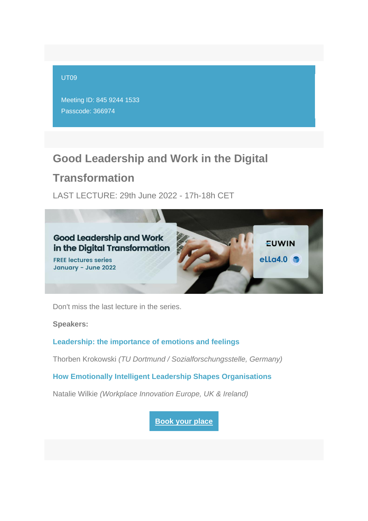#### UT09

Meeting ID: 845 9244 1533 Passcode: 366974

## **Good Leadership and Work in the Digital**

# **Transformation**

LAST LECTURE: 29th June 2022 - 17h-18h CET



Don't miss the last lecture in the series.

**Speakers:**

### **Leadership: the importance of emotions and feelings**

Thorben Krokowski *(TU Dortmund / Sozialforschungsstelle, Germany)*

**How Emotionally Intelligent Leadership Shapes Organisations**

Natalie Wilkie *(Workplace Innovation Europe, UK & Ireland)*

**[Book your place](https://workplaceinnovation.eu/good-leadership-and-work-in-the-digital-transformation/)**